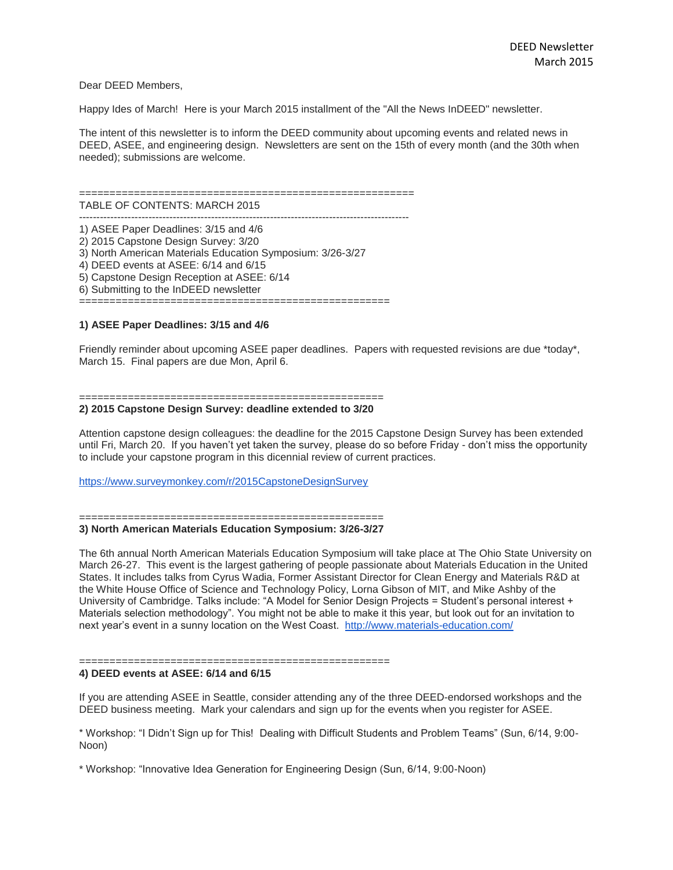## Dear DEED Members,

Happy Ides of March! Here is your March 2015 installment of the "All the News InDEED" newsletter.

The intent of this newsletter is to inform the DEED community about upcoming events and related news in DEED, ASEE, and engineering design. Newsletters are sent on the 15th of every month (and the 30th when needed); submissions are welcome.

#### =======================================================

TABLE OF CONTENTS: MARCH 2015 -----------------------------------------------------------------------------------------------

1) ASEE Paper Deadlines: 3/15 and 4/6 2) 2015 Capstone Design Survey: 3/20 3) North American Materials Education Symposium: 3/26-3/27 4) DEED events at ASEE: 6/14 and 6/15 5) Capstone Design Reception at ASEE: 6/14 6) Submitting to the InDEED newsletter ===================================================

# **1) ASEE Paper Deadlines: 3/15 and 4/6**

Friendly reminder about upcoming ASEE paper deadlines. Papers with requested revisions are due \*today\*, March 15. Final papers are due Mon, April 6.

### ==================================================

### **2) 2015 Capstone Design Survey: deadline extended to 3/20**

Attention capstone design colleagues: the deadline for the 2015 Capstone Design Survey has been extended until Fri, March 20. If you haven't yet taken the survey, please do so before Friday - don't miss the opportunity to include your capstone program in this dicennial review of current practices.

<https://www.surveymonkey.com/r/2015CapstoneDesignSurvey>

#### ================================================== **3) North American Materials Education Symposium: 3/26-3/27**

The 6th annual North American Materials Education Symposium will take place at The Ohio State University on March 26-27. This event is the largest gathering of people passionate about Materials Education in the United States. It includes talks from Cyrus Wadia, Former Assistant Director for Clean Energy and Materials R&D at the White House Office of Science and Technology Policy, Lorna Gibson of MIT, and Mike Ashby of the University of Cambridge. Talks include: "A Model for Senior Design Projects = Student's personal interest + Materials selection methodology". You might not be able to make it this year, but look out for an invitation to next year's event in a sunny location on the West Coast. <http://www.materials-education.com/>

# =======================

**4) DEED events at ASEE: 6/14 and 6/15**

If you are attending ASEE in Seattle, consider attending any of the three DEED-endorsed workshops and the DEED business meeting. Mark your calendars and sign up for the events when you register for ASEE.

\* Workshop: "I Didn't Sign up for This! Dealing with Difficult Students and Problem Teams" (Sun, 6/14, 9:00- Noon)

\* Workshop: "Innovative Idea Generation for Engineering Design (Sun, 6/14, 9:00-Noon)